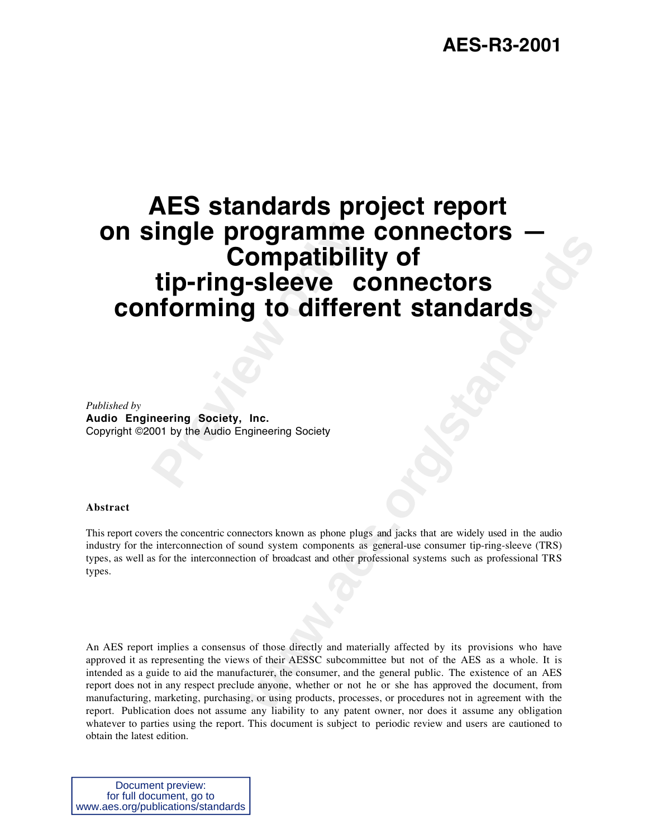# Fingle programme<br> **Compatibili**<br> **Pring-sleeve Conforming to different<br>
Preview Society, Inc.<br>
Preview Society, Inc.<br>
Preview Audio Engineering Society<br>
Preview Audio Engineering Society Example to the Connectors**<br> **y to different standards**<br> **y to different standards**<br> **there**<br> **there**<br> **there**<br> **there**<br> **there**<br> **there**<br> **there**<br> **there**<br> **or are the consumity of the standards**<br> **or**<br> **or**<br> **or**<br> **o AES standards project report on single programme connectors — Compatibility of tip-ring-sleeve connectors conforming to different standards**

*Published by* **Audio Engineering Society, Inc.** Copyright ©2001 by the Audio Engineering Society

#### **Abstract**

This report covers the concentric connectors known as phone plugs and jacks that are widely used in the audio industry for the interconnection of sound system components as general-use consumer tip-ring-sleeve (TRS) types, as well as for the interconnection of broadcast and other professional systems such as professional TRS types.

An AES report implies a consensus of those directly and materially affected by its provisions who have approved it as representing the views of their AESSC subcommittee but not of the AES as a whole. It is intended as a guide to aid the manufacturer, the consumer, and the general public. The existence of an AES report does not in any respect preclude anyone, whether or not he or she has approved the document, from manufacturing, marketing, purchasing, or using products, processes, or procedures not in agreement with the report. Publication does not assume any liability to any patent owner, nor does it assume any obligation whatever to parties using the report. This document is subject to periodic review and users are cautioned to obtain the latest edition.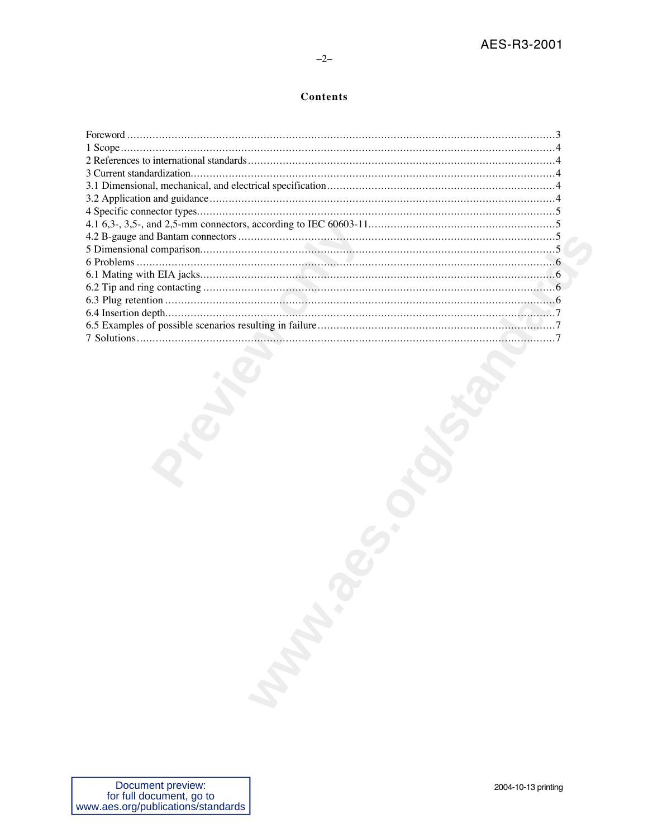# Contents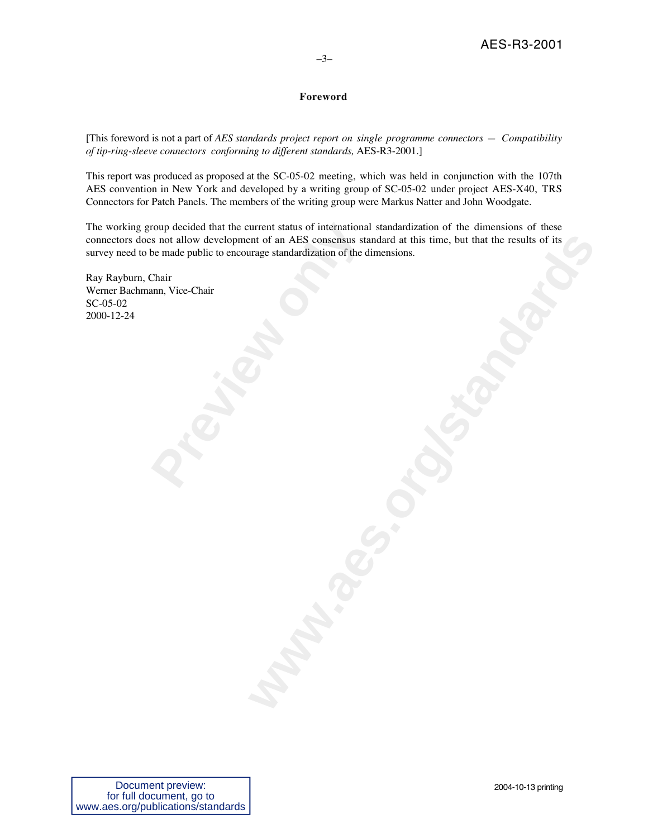# **Foreword**

[This foreword is not a part of *AES standards project report on single programme connectors — Compatibility of tip-ring-sleeve connectors conforming to different standards,* AES-R3-2001.]

This report was produced as proposed at the SC-05-02 meeting, which was held in conjunction with the 107th AES convention in New York and developed by a writing group of SC-05-02 under project AES-X40, TRS Connectors for Patch Panels. The members of the writing group were Markus Natter and John Woodgate.

Fractional Section and Section and AES consensus states and allow development of an AES consensus states be made public to encourage standardization of the containt mann, Vice-Chair and Music expansion of the containt mann part of an AES consensus standard at this time, but that the results of its<br>ringe standardization of the dimensions.<br>
and a consensus of the dimensions. The working group decided that the current status of international standardization of the dimensions of these connectors does not allow development of an AES consensus standard at this time, but that the results of its survey need to be made public to encourage standardization of the dimensions.

Ray Rayburn, Chair Werner Bachmann, Vice-Chair SC-05-02 2000-12-24